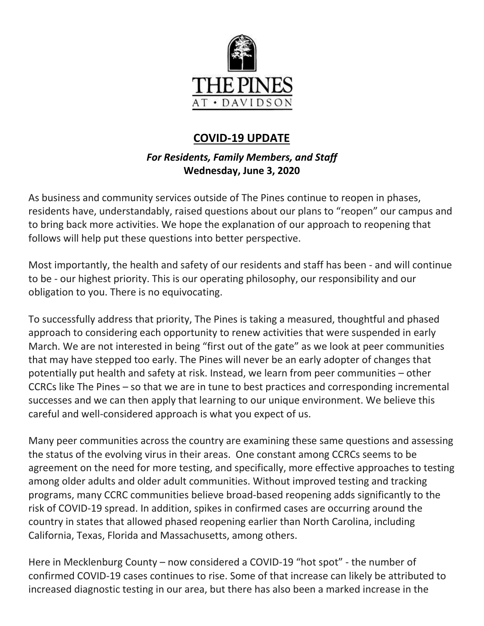

# **COVID-19 UPDATE**

## *For Residents, Family Members, and Staff* **Wednesday, June 3, 2020**

As business and community services outside of The Pines continue to reopen in phases, residents have, understandably, raised questions about our plans to "reopen" our campus and to bring back more activities. We hope the explanation of our approach to reopening that follows will help put these questions into better perspective.

Most importantly, the health and safety of our residents and staff has been - and will continue to be - our highest priority. This is our operating philosophy, our responsibility and our obligation to you. There is no equivocating.

To successfully address that priority, The Pines is taking a measured, thoughtful and phased approach to considering each opportunity to renew activities that were suspended in early March. We are not interested in being "first out of the gate" as we look at peer communities that may have stepped too early. The Pines will never be an early adopter of changes that potentially put health and safety at risk. Instead, we learn from peer communities – other CCRCs like The Pines – so that we are in tune to best practices and corresponding incremental successes and we can then apply that learning to our unique environment. We believe this careful and well-considered approach is what you expect of us.

Many peer communities across the country are examining these same questions and assessing the status of the evolving virus in their areas. One constant among CCRCs seems to be agreement on the need for more testing, and specifically, more effective approaches to testing among older adults and older adult communities. Without improved testing and tracking programs, many CCRC communities believe broad-based reopening adds significantly to the risk of COVID-19 spread. In addition, spikes in confirmed cases are occurring around the country in states that allowed phased reopening earlier than North Carolina, including California, Texas, Florida and Massachusetts, among others.

Here in Mecklenburg County – now considered a COVID-19 "hot spot" - the number of confirmed COVID-19 cases continues to rise. Some of that increase can likely be attributed to increased diagnostic testing in our area, but there has also been a marked increase in the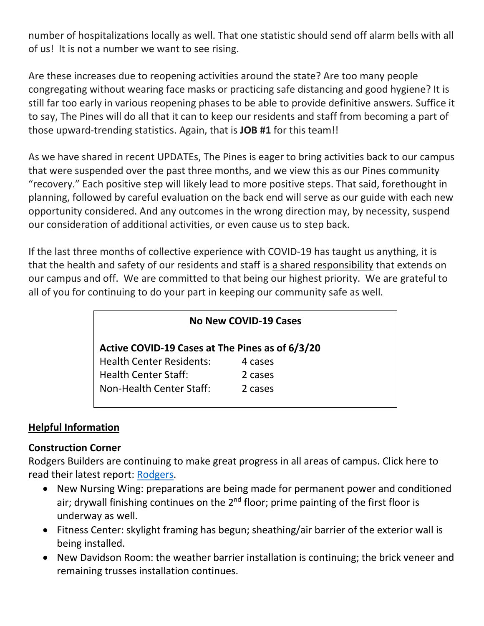number of hospitalizations locally as well. That one statistic should send off alarm bells with all of us! It is not a number we want to see rising.

Are these increases due to reopening activities around the state? Are too many people congregating without wearing face masks or practicing safe distancing and good hygiene? It is still far too early in various reopening phases to be able to provide definitive answers. Suffice it to say, The Pines will do all that it can to keep our residents and staff from becoming a part of those upward-trending statistics. Again, that is **JOB #1** for this team!!

As we have shared in recent UPDATEs, The Pines is eager to bring activities back to our campus that were suspended over the past three months, and we view this as our Pines community "recovery." Each positive step will likely lead to more positive steps. That said, forethought in planning, followed by careful evaluation on the back end will serve as our guide with each new opportunity considered. And any outcomes in the wrong direction may, by necessity, suspend our consideration of additional activities, or even cause us to step back.

If the last three months of collective experience with COVID-19 has taught us anything, it is that the health and safety of our residents and staff is a shared responsibility that extends on our campus and off. We are committed to that being our highest priority. We are grateful to all of you for continuing to do your part in keeping our community safe as well.

#### **No New COVID-19 Cases**

**Active COVID-19 Cases at The Pines as of 6/3/20**

| <b>Health Center Residents:</b> | 4 cases |
|---------------------------------|---------|
| <b>Health Center Staff:</b>     | 2 cases |
| <b>Non-Health Center Staff:</b> | 2 cases |

### **Helpful Information**

#### **Construction Corner**

Rodgers Builders are continuing to make great progress in all areas of campus. Click here to read their latest report: [Rodgers.](https://www.mycommunity-center.com/filephotos/463/2020-05-29%20Weekly%20Update.pdf)

- New Nursing Wing: preparations are being made for permanent power and conditioned air; drywall finishing continues on the  $2<sup>nd</sup>$  floor; prime painting of the first floor is underway as well.
- Fitness Center: skylight framing has begun; sheathing/air barrier of the exterior wall is being installed.
- New Davidson Room: the weather barrier installation is continuing; the brick veneer and remaining trusses installation continues.